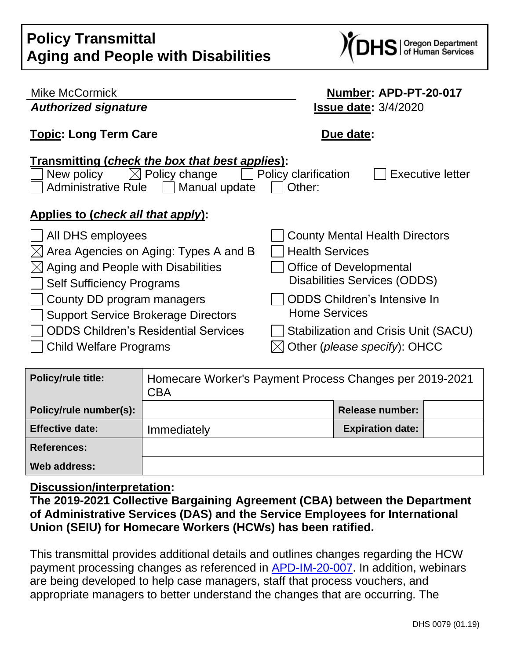# **Policy Transmittal Aging and People with Disabilities**



| Mike McCormick                                                                                                                                                                                                | Number: APD-PT-20-017                                                |  |  |
|---------------------------------------------------------------------------------------------------------------------------------------------------------------------------------------------------------------|----------------------------------------------------------------------|--|--|
| <b>Authorized signature</b>                                                                                                                                                                                   | <b>Issue date: 3/4/2020</b>                                          |  |  |
| <b>Topic: Long Term Care</b>                                                                                                                                                                                  | Due date:                                                            |  |  |
| Transmitting (check the box that best applies):<br>$\boxtimes$ Policy change<br><b>Policy clarification</b><br>New policy<br><b>Executive letter</b><br><b>Administrative Rule</b><br>Manual update<br>Other: |                                                                      |  |  |
| Applies to (check all that apply):                                                                                                                                                                            |                                                                      |  |  |
| All DHS employees<br>$\boxtimes$ Area Agencies on Aging: Types A and B                                                                                                                                        | <b>County Mental Health Directors</b><br><b>Health Services</b>      |  |  |
| $\boxtimes$ Aging and People with Disabilities<br><b>Self Sufficiency Programs</b>                                                                                                                            | Office of Developmental<br><b>Disabilities Services (ODDS)</b>       |  |  |
| County DD program managers<br><b>Support Service Brokerage Directors</b>                                                                                                                                      | <b>ODDS Children's Intensive In</b><br><b>Home Services</b>          |  |  |
| <b>ODDS Children's Residential Services</b><br><b>Child Welfare Programs</b>                                                                                                                                  | Stabilization and Crisis Unit (SACU)<br>Other (please specify): OHCC |  |  |

| <b>Policy/rule title:</b> | Homecare Worker's Payment Process Changes per 2019-2021<br><b>CBA</b> |                         |  |
|---------------------------|-----------------------------------------------------------------------|-------------------------|--|
| Policy/rule number(s):    |                                                                       | Release number:         |  |
| <b>Effective date:</b>    | Immediately                                                           | <b>Expiration date:</b> |  |
| <b>References:</b>        |                                                                       |                         |  |
| Web address:              |                                                                       |                         |  |

#### **Discussion/interpretation:**

**The 2019-2021 Collective Bargaining Agreement (CBA) between the Department of Administrative Services (DAS) and the Service Employees for International Union (SEIU) for Homecare Workers (HCWs) has been ratified.**

This transmittal provides additional details and outlines changes regarding the HCW payment processing changes as referenced in [APD-IM-20-007.](http://www.dhs.state.or.us/policy/spd/transmit/im/2020/im20007.pdf) In addition, webinars are being developed to help case managers, staff that process vouchers, and appropriate managers to better understand the changes that are occurring. The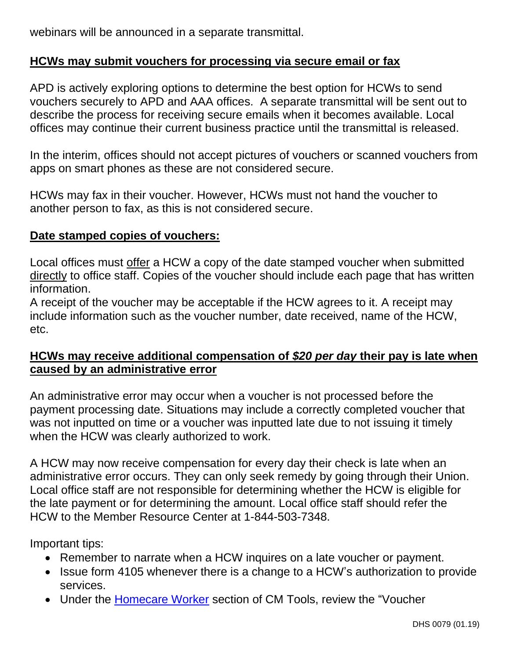webinars will be announced in a separate transmittal.

## **HCWs may submit vouchers for processing via secure email or fax**

APD is actively exploring options to determine the best option for HCWs to send vouchers securely to APD and AAA offices. A separate transmittal will be sent out to describe the process for receiving secure emails when it becomes available. Local offices may continue their current business practice until the transmittal is released.

In the interim, offices should not accept pictures of vouchers or scanned vouchers from apps on smart phones as these are not considered secure.

HCWs may fax in their voucher. However, HCWs must not hand the voucher to another person to fax, as this is not considered secure.

#### **Date stamped copies of vouchers:**

Local offices must offer a HCW a copy of the date stamped voucher when submitted directly to office staff. Copies of the voucher should include each page that has written information.

A receipt of the voucher may be acceptable if the HCW agrees to it. A receipt may include information such as the voucher number, date received, name of the HCW, etc.

## **HCWs may receive additional compensation of** *\$20 per day* **their pay is late when caused by an administrative error**

An administrative error may occur when a voucher is not processed before the payment processing date. Situations may include a correctly completed voucher that was not inputted on time or a voucher was inputted late due to not issuing it timely when the HCW was clearly authorized to work.

A HCW may now receive compensation for every day their check is late when an administrative error occurs. They can only seek remedy by going through their Union. Local office staff are not responsible for determining whether the HCW is eligible for the late payment or for determining the amount. Local office staff should refer the HCW to the Member Resource Center at 1-844-503-7348.

Important tips:

- Remember to narrate when a HCW inquires on a late voucher or payment.
- Issue form 4105 whenever there is a change to a HCW's authorization to provide services.
- Under the [Homecare Worker](http://www.dhs.state.or.us/spd/tools/cm/homecare/index.htm) section of CM Tools, review the "Voucher